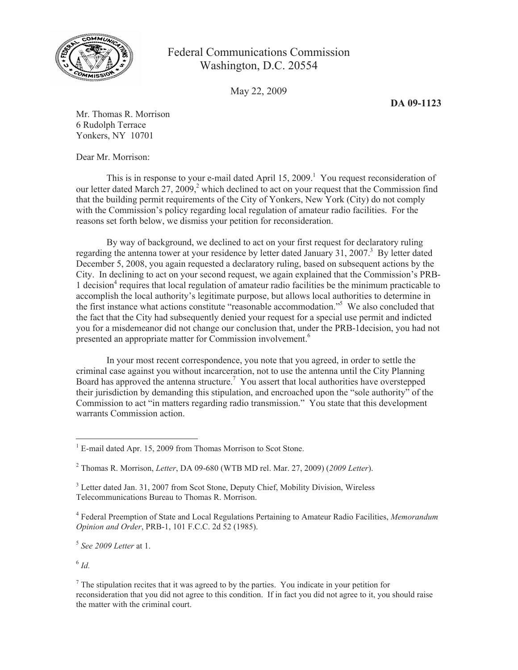

## Federal Communications Commission Washington, D.C. 20554

May 22, 2009

**DA 09-1123**

Mr. Thomas R. Morrison 6 Rudolph Terrace Yonkers, NY 10701

Dear Mr. Morrison:

This is in response to your e-mail dated April  $15, 2009$ .<sup>1</sup> You request reconsideration of our letter dated March 27, 2009, $^2$  which declined to act on your request that the Commission find that the building permit requirements of the City of Yonkers, New York (City) do not comply with the Commission's policy regarding local regulation of amateur radio facilities. For the reasons set forth below, we dismiss your petition for reconsideration.

By way of background, we declined to act on your first request for declaratory ruling regarding the antenna tower at your residence by letter dated January 31, 2007.<sup>3</sup> By letter dated December 5, 2008, you again requested a declaratory ruling, based on subsequent actions by the City. In declining to act on your second request, we again explained that the Commission's PRB-1 decision<sup>4</sup> requires that local regulation of amateur radio facilities be the minimum practicable to accomplish the local authority's legitimate purpose, but allows local authorities to determine in the first instance what actions constitute "reasonable accommodation."<sup>5</sup> We also concluded that the fact that the City had subsequently denied your request for a special use permit and indicted you for a misdemeanor did not change our conclusion that, under the PRB-1decision, you had not presented an appropriate matter for Commission involvement.<sup>6</sup>

In your most recent correspondence, you note that you agreed, in order to settle the criminal case against you without incarceration, not to use the antenna until the City Planning Board has approved the antenna structure.<sup>7</sup> You assert that local authorities have overstepped their jurisdiction by demanding this stipulation, and encroached upon the "sole authority" of the Commission to act "in matters regarding radio transmission." You state that this development warrants Commission action.

5 *See 2009 Letter* at 1.

6 *Id.*

<sup>&</sup>lt;sup>1</sup> E-mail dated Apr. 15, 2009 from Thomas Morrison to Scot Stone.

<sup>2</sup> Thomas R. Morrison, *Letter*, DA 09-680 (WTB MD rel. Mar. 27, 2009) (*2009 Letter*).

<sup>&</sup>lt;sup>3</sup> Letter dated Jan. 31, 2007 from Scot Stone, Deputy Chief, Mobility Division, Wireless Telecommunications Bureau to Thomas R. Morrison.

<sup>4</sup> Federal Preemption of State and Local Regulations Pertaining to Amateur Radio Facilities, *Memorandum Opinion and Order*, PRB-1, 101 F.C.C. 2d 52 (1985).

 $<sup>7</sup>$  The stipulation recites that it was agreed to by the parties. You indicate in your petition for</sup> reconsideration that you did not agree to this condition. If in fact you did not agree to it, you should raise the matter with the criminal court.